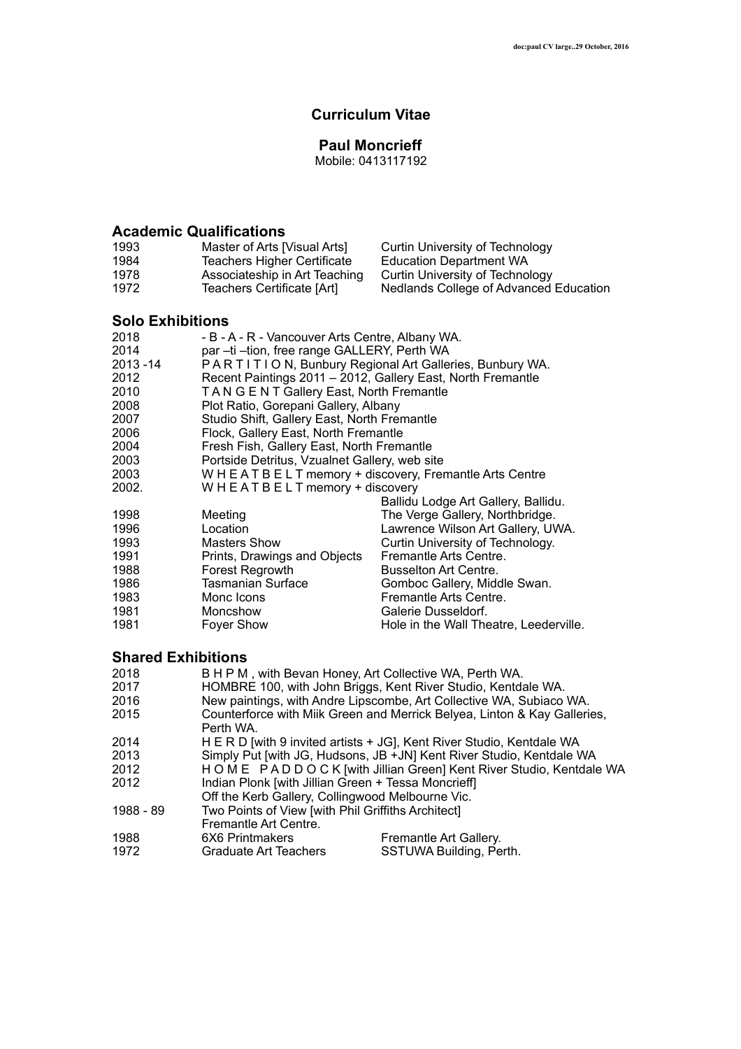### **Curriculum Vitae**

### **Paul Moncrieff**

Mobile: 0413117192

## **Academic Qualifications**

| 1993 | Master of Arts [Visual Arts]  | Curtin University of Technology        |
|------|-------------------------------|----------------------------------------|
| 1984 | Teachers Higher Certificate   | Education Department WA                |
| 1978 | Associateship in Art Teaching | Curtin University of Technology        |
| 1972 | Teachers Certificate [Art]    | Nedlands College of Advanced Education |

### **Solo Exhibitions**

| 2018     | - B - A - R - Vancouver Arts Centre, Albany WA. |                                                             |
|----------|-------------------------------------------------|-------------------------------------------------------------|
| 2014     | par - ti - tion, free range GALLERY, Perth WA   |                                                             |
| 2013 -14 |                                                 | PARTITION, Bunbury Regional Art Galleries, Bunbury WA.      |
| 2012     |                                                 | Recent Paintings 2011 - 2012, Gallery East, North Fremantle |
| 2010     | TANGENT Gallery East, North Fremantle           |                                                             |
| 2008     | Plot Ratio, Gorepani Gallery, Albany            |                                                             |
| 2007     | Studio Shift, Gallery East, North Fremantle     |                                                             |
| 2006     | Flock, Gallery East, North Fremantle            |                                                             |
| 2004     | Fresh Fish, Gallery East, North Fremantle       |                                                             |
| 2003     | Portside Detritus, Vzualnet Gallery, web site   |                                                             |
| 2003     |                                                 | WHEATBELT memory + discovery, Fremantle Arts Centre         |
| 2002.    | $W$ H E A T B E L T memory + discovery          |                                                             |
|          |                                                 | Ballidu Lodge Art Gallery, Ballidu.                         |
| 1998     | Meeting                                         | The Verge Gallery, Northbridge.                             |
| 1996     | Location                                        | Lawrence Wilson Art Gallery, UWA.                           |
| 1993     | Masters Show                                    | Curtin University of Technology.                            |
| 1991     | Prints, Drawings and Objects                    | Fremantle Arts Centre.                                      |
| 1988     | Forest Regrowth                                 | <b>Busselton Art Centre.</b>                                |
| 1986     | Tasmanian Surface                               | Gomboc Gallery, Middle Swan.                                |
| 1983     | Monc Icons                                      | Fremantle Arts Centre.                                      |
| 1981     | Moncshow                                        | Galerie Dusseldorf.                                         |
| 1981     | Foyer Show                                      | Hole in the Wall Theatre, Leederville.                      |

### **Shared Exhibitions**

| 2018      |                                                     | B H P M, with Bevan Honey, Art Collective WA, Perth WA.                  |
|-----------|-----------------------------------------------------|--------------------------------------------------------------------------|
| 2017      |                                                     | HOMBRE 100, with John Briggs, Kent River Studio, Kentdale WA.            |
| 2016      |                                                     | New paintings, with Andre Lipscombe, Art Collective WA, Subiaco WA.      |
| 2015      |                                                     | Counterforce with Miik Green and Merrick Belyea, Linton & Kay Galleries, |
|           | Perth WA.                                           |                                                                          |
| 2014      |                                                     | H E R D [with 9 invited artists + JG], Kent River Studio, Kentdale WA    |
| 2013      |                                                     | Simply Put [with JG, Hudsons, JB +JN] Kent River Studio, Kentdale WA     |
| 2012      |                                                     | HOME PADDOCK [with Jillian Green] Kent River Studio, Kentdale WA         |
| 2012      | Indian Plonk [with Jillian Green + Tessa Moncrieff] |                                                                          |
|           | Off the Kerb Gallery, Collingwood Melbourne Vic.    |                                                                          |
| 1988 - 89 | Two Points of View [with Phil Griffiths Architect]  |                                                                          |
|           | Fremantle Art Centre.                               |                                                                          |
| 1988      | 6X6 Printmakers                                     | Fremantle Art Gallery.                                                   |
| 1972      | Graduate Art Teachers                               | SSTUWA Building, Perth.                                                  |
|           |                                                     |                                                                          |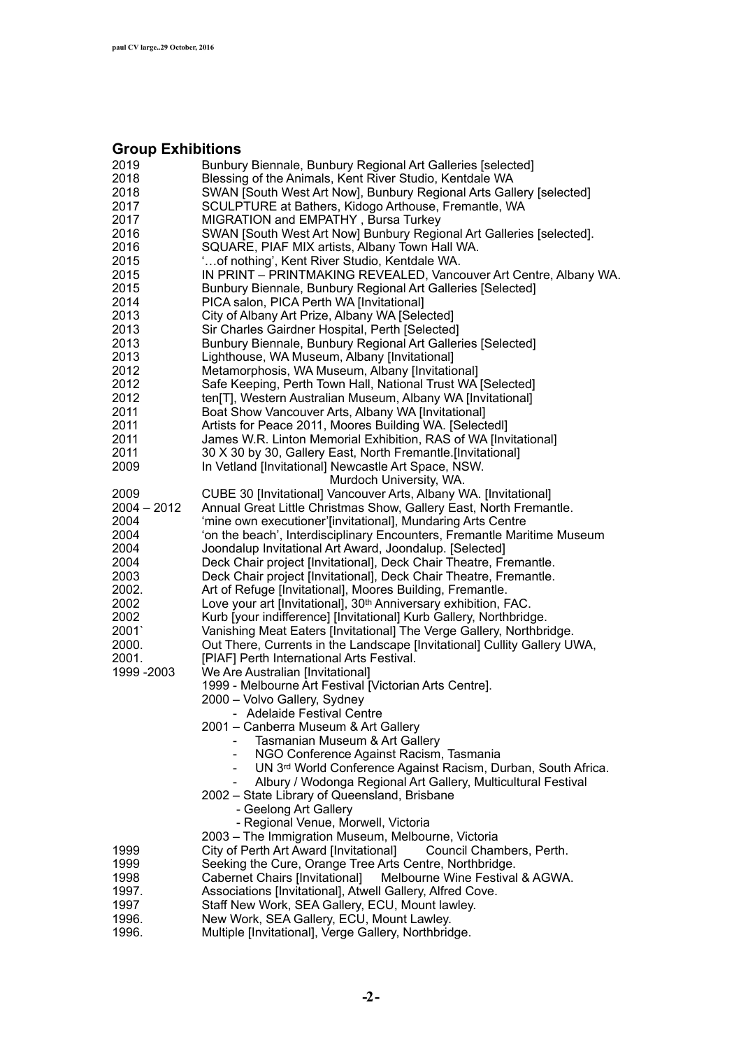# **Group Exhibitions**

| 2019          | Bunbury Biennale, Bunbury Regional Art Galleries [selected]                                                   |
|---------------|---------------------------------------------------------------------------------------------------------------|
| 2018          | Blessing of the Animals, Kent River Studio, Kentdale WA                                                       |
| 2018          | SWAN [South West Art Now], Bunbury Regional Arts Gallery [selected]                                           |
| 2017          | SCULPTURE at Bathers, Kidogo Arthouse, Fremantle, WA                                                          |
| 2017          | MIGRATION and EMPATHY, Bursa Turkey                                                                           |
| 2016          | SWAN [South West Art Now] Bunbury Regional Art Galleries [selected].                                          |
| 2016          | SQUARE, PIAF MIX artists, Albany Town Hall WA.                                                                |
| 2015          | "of nothing', Kent River Studio, Kentdale WA.                                                                 |
| 2015          | IN PRINT - PRINTMAKING REVEALED, Vancouver Art Centre, Albany WA.                                             |
| 2015          | Bunbury Biennale, Bunbury Regional Art Galleries [Selected]                                                   |
| 2014          | PICA salon, PICA Perth WA [Invitational]                                                                      |
| 2013          | City of Albany Art Prize, Albany WA [Selected]                                                                |
| 2013          | Sir Charles Gairdner Hospital, Perth [Selected]                                                               |
| 2013          | Bunbury Biennale, Bunbury Regional Art Galleries [Selected]                                                   |
| 2013          | Lighthouse, WA Museum, Albany [Invitational]                                                                  |
| 2012          | Metamorphosis, WA Museum, Albany [Invitational]                                                               |
| 2012          | Safe Keeping, Perth Town Hall, National Trust WA [Selected]                                                   |
| 2012          | ten[T], Western Australian Museum, Albany WA [Invitational]                                                   |
| 2011          | Boat Show Vancouver Arts, Albany WA [Invitational]                                                            |
| 2011          | Artists for Peace 2011, Moores Building WA. [Selectedl]                                                       |
| 2011          | James W.R. Linton Memorial Exhibition, RAS of WA [Invitational]                                               |
| 2011          | 30 X 30 by 30, Gallery East, North Fremantle.[Invitational]                                                   |
| 2009          | In Vetland [Invitational] Newcastle Art Space, NSW.                                                           |
|               | Murdoch University, WA.                                                                                       |
| 2009          | CUBE 30 [Invitational] Vancouver Arts, Albany WA. [Invitational]                                              |
| $2004 - 2012$ | Annual Great Little Christmas Show, Gallery East, North Fremantle.                                            |
| 2004          | 'mine own executioner'[invitational], Mundaring Arts Centre                                                   |
| 2004          | 'on the beach', Interdisciplinary Encounters, Fremantle Maritime Museum                                       |
| 2004          | Joondalup Invitational Art Award, Joondalup. [Selected]                                                       |
| 2004          | Deck Chair project [Invitational], Deck Chair Theatre, Fremantle.                                             |
| 2003          | Deck Chair project [Invitational], Deck Chair Theatre, Fremantle.                                             |
| 2002.         | Art of Refuge [Invitational], Moores Building, Fremantle.                                                     |
| 2002          | Love your art [Invitational], 30 <sup>th</sup> Anniversary exhibition, FAC.                                   |
| 2002          | Kurb [your indifference] [Invitational] Kurb Gallery, Northbridge.                                            |
| 2001          | Vanishing Meat Eaters [Invitational] The Verge Gallery, Northbridge.                                          |
| 2000.         | Out There, Currents in the Landscape [Invitational] Cullity Gallery UWA,                                      |
| 2001.         | [PIAF] Perth International Arts Festival.                                                                     |
| 1999 - 2003   | We Are Australian [Invitational]                                                                              |
|               |                                                                                                               |
|               | 1999 - Melbourne Art Festival [Victorian Arts Centre].<br>2000 - Volvo Gallery, Sydney                        |
|               | - Adelaide Festival Centre                                                                                    |
|               | 2001 - Canberra Museum & Art Gallery                                                                          |
|               | Tasmanian Museum & Art Gallery                                                                                |
|               |                                                                                                               |
|               | NGO Conference Against Racism, Tasmania                                                                       |
|               | UN 3rd World Conference Against Racism, Durban, South Africa.                                                 |
|               | Albury / Wodonga Regional Art Gallery, Multicultural Festival<br>2002 - State Library of Queensland, Brisbane |
|               |                                                                                                               |
|               | - Geelong Art Gallery                                                                                         |
|               | - Regional Venue, Morwell, Victoria                                                                           |
|               | 2003 - The Immigration Museum, Melbourne, Victoria                                                            |
| 1999          | City of Perth Art Award [Invitational]<br>Council Chambers, Perth.                                            |
| 1999          | Seeking the Cure, Orange Tree Arts Centre, Northbridge.                                                       |
| 1998          | <b>Cabernet Chairs [Invitational]</b><br>Melbourne Wine Festival & AGWA.                                      |
| 1997.         | Associations [Invitational], Atwell Gallery, Alfred Cove.                                                     |
| 1997          | Staff New Work, SEA Gallery, ECU, Mount lawley.                                                               |
| 1996.         | New Work, SEA Gallery, ECU, Mount Lawley.                                                                     |
| 1996.         | Multiple [Invitational], Verge Gallery, Northbridge.                                                          |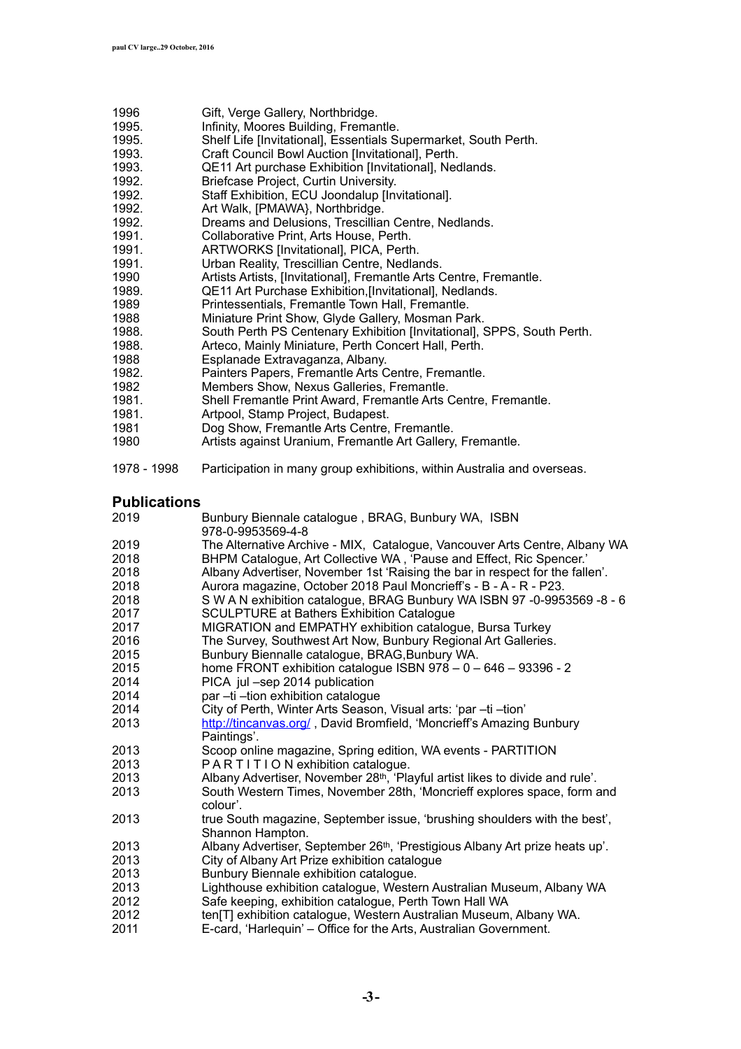- 1996 Gift, Verge Gallery, Northbridge.
- 1995. Infinity, Moores Building, Fremantle.
- 1995. Shelf Life [Invitational], Essentials Supermarket, South Perth.
- 1993. Craft Council Bowl Auction [Invitational], Perth.
- 1993. QE11 Art purchase Exhibition [Invitational], Nedlands.
- 1992. Briefcase Project, Curtin University.
- 1992. Staff Exhibition, ECU Joondalup [Invitational].
- 1992. Art Walk, [PMAWA}, Northbridge.
- 1992. Dreams and Delusions, Trescillian Centre, Nedlands.
- 1991. Collaborative Print, Arts House, Perth.
- 1991. ARTWORKS [Invitational], PICA, Perth.
- 1991. Urban Reality, Trescillian Centre, Nedlands.
- 1990 Artists Artists, [Invitational], Fremantle Arts Centre, Fremantle.
- 1989. QE11 Art Purchase Exhibition,[Invitational], Nedlands.
- 1989 Printessentials, Fremantle Town Hall, Fremantle.
- 1988 Miniature Print Show, Glyde Gallery, Mosman Park.
- 1988. South Perth PS Centenary Exhibition [Invitational], SPPS, South Perth.
- 1988. Arteco, Mainly Miniature, Perth Concert Hall, Perth.
- 1988 Esplanade Extravaganza, Albany.
- 1982. Painters Papers, Fremantle Arts Centre, Fremantle.
- 1982 Members Show, Nexus Galleries, Fremantle.<br>1981. Shell Fremantle Print Award. Fremantle Arts
- Shell Fremantle Print Award, Fremantle Arts Centre, Fremantle.
- 1981. Artpool, Stamp Project, Budapest.
- 1981 Dog Show, Fremantle Arts Centre, Fremantle.<br>1980 Artists against Uranium. Fremantle Art Gallery
- Artists against Uranium, Fremantle Art Gallery, Fremantle.
- 1978 1998 Participation in many group exhibitions, within Australia and overseas.

#### **Publications**

- 2019 Bunbury Biennale catalogue , BRAG, Bunbury WA, ISBN 978-0-9953569-4-8<br>The Alternative Arch 2019 The Alternative Archive - MIX, Catalogue, Vancouver Arts Centre, Albany WA 2018 BHPM Catalogue, Art Collective WA , 'Pause and Effect, Ric Spencer.' 2018 Albany Advertiser, November 1st 'Raising the bar in respect for the fallen'. 2018 Aurora magazine, October 2018 Paul Moncrieff's - B - A - R - P23. 2018 S W A N exhibition catalogue, BRAG Bunbury WA ISBN 97 -0-9953569 -8 - 6 2017 SCULPTURE at Bathers Exhibition Catalogue MIGRATION and EMPATHY exhibition catalogue, Bursa Turkey 2016 The Survey, Southwest Art Now, Bunbury Regional Art Galleries. 2015 Bunbury Biennalle catalogue, BRAG,Bunbury WA. 2015 home FRONT exhibition catalogue ISBN 978 – 0 – 646 – 93396 - 2 2014 PICA jul –sep 2014 publication 2014 par –ti –tion exhibition catalogue 2014 City of Perth, Winter Arts Season, Visual arts: 'par –ti –tion' 2013 <http://tincanvas.org/> , David Bromfield, 'Moncrieff's Amazing Bunbury Paintings'. 2013 Scoop online magazine, Spring edition, WA events - PARTITION 2013 PARTITION exhibition catalogue. 2013 Albany Advertiser, November 28<sup>th</sup>, 'Playful artist likes to divide and rule'.<br>2013 South Western Times, November 28th, 'Moncrieff explores space, form a South Western Times, November 28th, 'Moncrieff explores space, form and colour'. 2013 true South magazine, September issue, 'brushing shoulders with the best', Shannon Hampton. 2013 Albany Advertiser, September 26th, 'Prestigious Albany Art prize heats up'. 2013 City of Albany Art Prize exhibition catalogue 2013 Bunbury Biennale exhibition catalogue. 2013 Lighthouse exhibition catalogue, Western Australian Museum, Albany WA 2012 Safe keeping, exhibition catalogue, Perth Town Hall WA 2012 ten[T] exhibition catalogue, Western Australian Museum, Albany WA.
- 2011 E-card, 'Harlequin' Office for the Arts, Australian Government.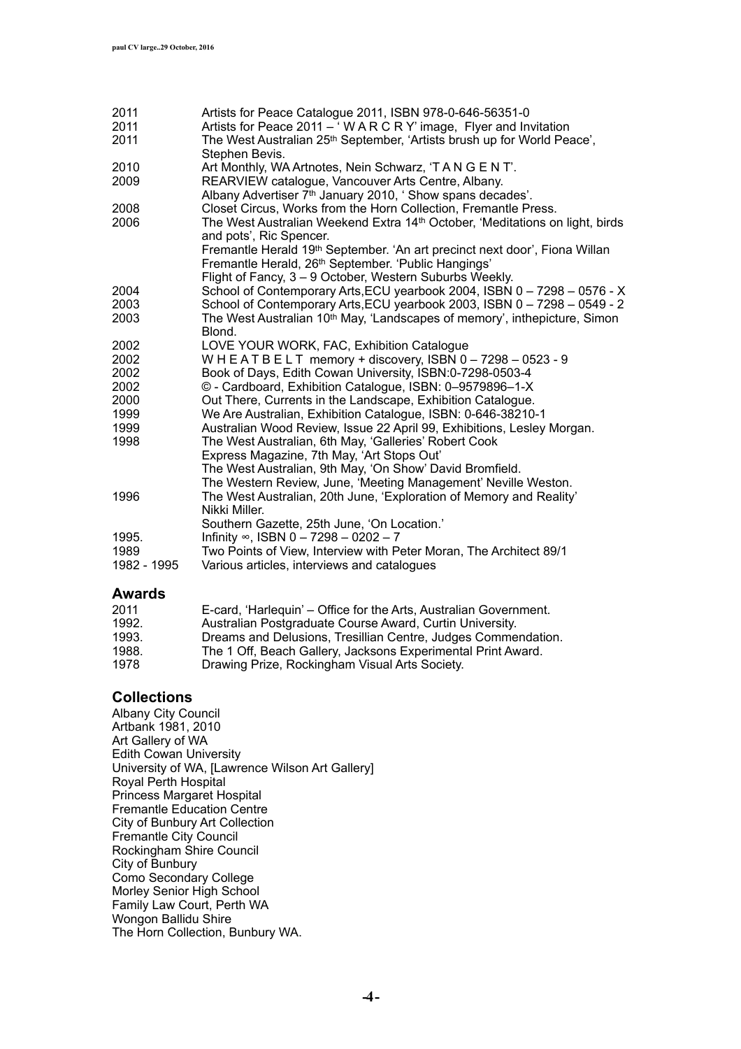| 2011<br>2011 | Artists for Peace Catalogue 2011, ISBN 978-0-646-56351-0<br>Artists for Peace 2011 – 'W A R C R Y' image, Flyer and Invitation  |
|--------------|---------------------------------------------------------------------------------------------------------------------------------|
| 2011         | The West Australian 25 <sup>th</sup> September, 'Artists brush up for World Peace',                                             |
| 2010         | Stephen Bevis.                                                                                                                  |
| 2009         | Art Monthly, WA Artnotes, Nein Schwarz, 'T A N G E N T'.<br>REARVIEW catalogue, Vancouver Arts Centre, Albany.                  |
|              | Albany Advertiser 7 <sup>th</sup> January 2010, 'Show spans decades'.                                                           |
| 2008         | Closet Circus, Works from the Horn Collection, Fremantle Press.                                                                 |
| 2006         | The West Australian Weekend Extra 14th October, 'Meditations on light, birds<br>and pots', Ric Spencer.                         |
|              | Fremantle Herald 19th September. 'An art precinct next door', Fiona Willan                                                      |
|              | Fremantle Herald, 26 <sup>th</sup> September. 'Public Hangings'                                                                 |
|              | Flight of Fancy, 3 - 9 October, Western Suburbs Weekly.                                                                         |
| 2004         | School of Contemporary Arts, ECU yearbook 2004, ISBN 0 - 7298 - 0576 - X                                                        |
| 2003         | School of Contemporary Arts, ECU yearbook 2003, ISBN 0 - 7298 - 0549 - 2                                                        |
| 2003         | The West Australian 10 <sup>th</sup> May, 'Landscapes of memory', inthepicture, Simon<br>Blond.                                 |
| 2002         | LOVE YOUR WORK, FAC, Exhibition Catalogue                                                                                       |
| 2002         | WHEATBELT memory + discovery, ISBN $0 - 7298 - 0523 - 9$                                                                        |
| 2002         | Book of Days, Edith Cowan University, ISBN:0-7298-0503-4                                                                        |
| 2002         | © - Cardboard, Exhibition Catalogue, ISBN: 0-9579896-1-X                                                                        |
| 2000         | Out There, Currents in the Landscape, Exhibition Catalogue.                                                                     |
| 1999         | We Are Australian, Exhibition Catalogue, ISBN: 0-646-38210-1                                                                    |
| 1999<br>1998 | Australian Wood Review, Issue 22 April 99, Exhibitions, Lesley Morgan.<br>The West Australian, 6th May, 'Galleries' Robert Cook |
|              | Express Magazine, 7th May, 'Art Stops Out'                                                                                      |
|              | The West Australian, 9th May, 'On Show' David Bromfield.                                                                        |
|              | The Western Review, June, 'Meeting Management' Neville Weston.                                                                  |
| 1996         | The West Australian, 20th June, 'Exploration of Memory and Reality'<br>Nikki Miller.                                            |
|              | Southern Gazette, 25th June, 'On Location.'                                                                                     |
| 1995.        | Infinity $\infty$ , ISBN 0 - 7298 - 0202 - 7                                                                                    |
| 1989         | Two Points of View, Interview with Peter Moran, The Architect 89/1                                                              |
| 1982 - 1995  | Various articles, interviews and catalogues                                                                                     |
|              |                                                                                                                                 |

### **Awards**

| 2011  | E-card, 'Harlequin' – Office for the Arts, Australian Government. |
|-------|-------------------------------------------------------------------|
| 1992. | Australian Postgraduate Course Award, Curtin University.          |
| 1993. | Dreams and Delusions, Tresillian Centre, Judges Commendation.     |
| 1988. | The 1 Off, Beach Gallery, Jacksons Experimental Print Award.      |
| 1978  | Drawing Prize, Rockingham Visual Arts Society.                    |

#### **Collections**

Albany City Council Artbank 1981, 2010 Art Gallery of WA Edith Cowan University University of WA, [Lawrence Wilson Art Gallery] Royal Perth Hospital Princess Margaret Hospital Fremantle Education Centre City of Bunbury Art Collection Fremantle City Council Rockingham Shire Council City of Bunbury Como Secondary College Morley Senior High School Family Law Court, Perth WA Wongon Ballidu Shire The Horn Collection, Bunbury WA.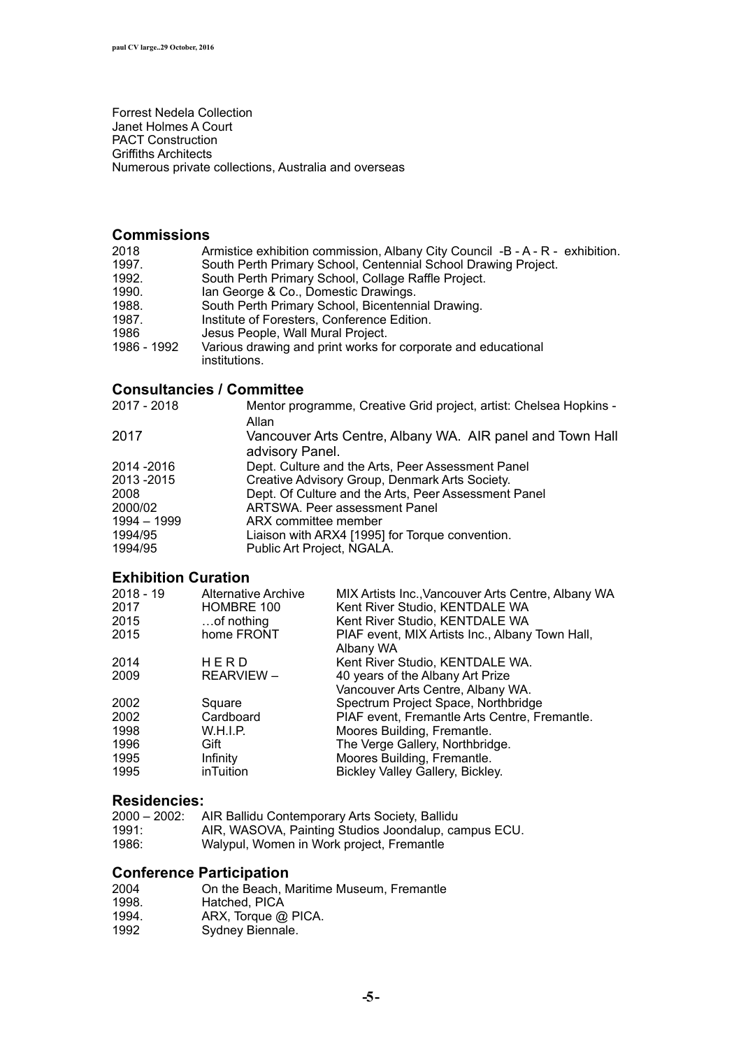Forrest Nedela Collection Janet Holmes A Court PACT Construction Griffiths Architects Numerous private collections, Australia and overseas

### **Commissions**

| 2018        | Armistice exhibition commission, Albany City Council -B - A - R - exhibition. |
|-------------|-------------------------------------------------------------------------------|
| 1997.       | South Perth Primary School, Centennial School Drawing Project.                |
| 1992.       | South Perth Primary School, Collage Raffle Project.                           |
| 1990.       | Ian George & Co., Domestic Drawings.                                          |
| 1988.       | South Perth Primary School, Bicentennial Drawing.                             |
| 1987.       | Institute of Foresters, Conference Edition.                                   |
| 1986        | Jesus People, Wall Mural Project.                                             |
| 1986 - 1992 | Various drawing and print works for corporate and educational                 |
|             | institutions.                                                                 |
|             |                                                                               |

### **Consultancies / Committee**

| 2017 - 2018 | Mentor programme, Creative Grid project, artist: Chelsea Hopkins -<br>Allan  |
|-------------|------------------------------------------------------------------------------|
| 2017        | Vancouver Arts Centre, Albany WA. AIR panel and Town Hall<br>advisory Panel. |
| 2014 - 2016 | Dept. Culture and the Arts, Peer Assessment Panel                            |
| 2013 - 2015 | Creative Advisory Group, Denmark Arts Society.                               |
| 2008        | Dept. Of Culture and the Arts, Peer Assessment Panel                         |
| 2000/02     | ARTSWA. Peer assessment Panel                                                |
| 1994 - 1999 | ARX committee member                                                         |
| 1994/95     | Liaison with ARX4 [1995] for Torque convention.                              |
| 1994/95     | Public Art Project, NGALA.                                                   |

### **Exhibition Curation**

| 2018 - 19<br>2017<br>2015<br>2015 | Alternative Archive<br>HOMBRE 100<br>of nothing<br>home FRONT | MIX Artists Inc., Vancouver Arts Centre, Albany WA<br>Kent River Studio, KENTDALE WA<br>Kent River Studio, KENTDALE WA<br>PIAF event, MIX Artists Inc., Albany Town Hall, |
|-----------------------------------|---------------------------------------------------------------|---------------------------------------------------------------------------------------------------------------------------------------------------------------------------|
| 2014                              | HERD                                                          | Albany WA<br>Kent River Studio, KENTDALE WA.                                                                                                                              |
| 2009                              | <b>REARVIEW -</b>                                             | 40 years of the Albany Art Prize<br>Vancouver Arts Centre, Albany WA.                                                                                                     |
| 2002                              | Square                                                        | Spectrum Project Space, Northbridge                                                                                                                                       |
| 2002                              | Cardboard                                                     | PIAF event, Fremantle Arts Centre, Fremantle.                                                                                                                             |
| 1998                              | W.H.I.P.                                                      | Moores Building, Fremantle.                                                                                                                                               |
| 1996                              | Gift                                                          | The Verge Gallery, Northbridge.                                                                                                                                           |
| 1995                              | Infinity                                                      | Moores Building, Fremantle.                                                                                                                                               |
| 1995                              | inTuition                                                     | Bickley Valley Gallery, Bickley.                                                                                                                                          |

### **Residencies:**

| 2000 – 2002: . | AIR Ballidu Contemporary Arts Society, Ballidu       |
|----------------|------------------------------------------------------|
| 1991:          | AIR, WASOVA, Painting Studios Joondalup, campus ECU. |
| 1986:          | Walypul, Women in Work project, Fremantle            |

### **Conference Participation**

| 2004  | On the Beach, Maritime Museum, Fremantle |
|-------|------------------------------------------|
| 1998. | Hatched, PICA                            |
| 1994. | ARX, Torque @ PICA.                      |
| 1992  | Sydney Biennale.                         |